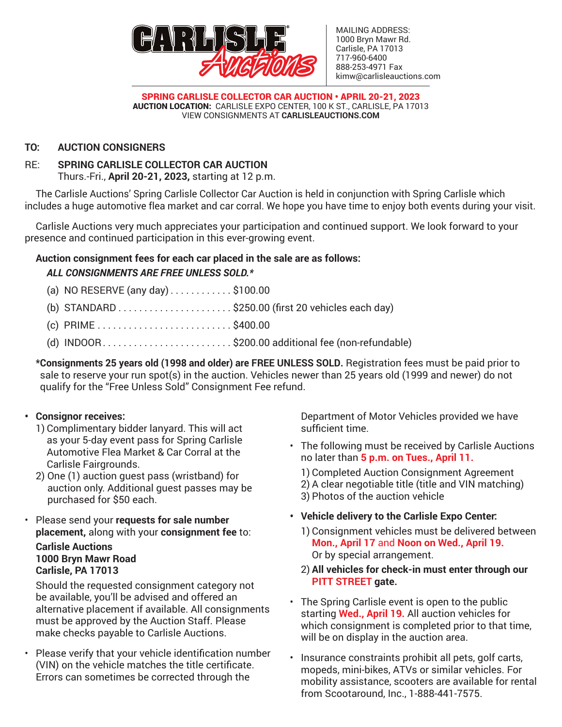

MAILING ADDRESS: 1000 Bryn Mawr Rd. Carlisle, PA 17013 717-960-6400 888-253-4971 Fax kimw@carlisleauctions.com

SPRING CARLISLE COLLECTOR CAR AUCTION • APRIL 20-21, 2023 AUCTION LOCATION: CARLISLE EXPO CENTER, 100 K ST., CARLISLE, PA 17013 VIEW CONSIGNMENTS AT **CARLISLEAUCTIONS.COM** 

# **TO: AUCTION CONSIGNERS**

# RE: **SPRING CARLISLE COLLECTOR CAR AUCTION**

Thurs.-Fri., **April 20-21, 2023,** starting at 12 p.m.

The Carlisle Auctions' Spring Carlisle Collector Car Auction is held in conjunction with Spring Carlisle which includes a huge automotive flea market and car corral. We hope you have time to enjoy both events during your visit.

Carlisle Auctions very much appreciates your participation and continued support. We look forward to your presence and continued participation in this ever-growing event.

# **Auction consignment fees for each car placed in the sale are as follows:**

# *ALL CONSIGNMENTS ARE FREE UNLESS SOLD.\**

- (a) NO RESERVE (any day)...........\$100.00
- (b) STANDARD  $\ldots$  . . . . . . . . . . . . . . . . . \$250.00 (first 20 vehicles each day)
- $(c)$  PRIME...........................\$400.00
- (d) INDOOR. . . \$200.00 additional fee (non-refundable)

**\*Consignments 25 years old (1998 and older) are FREE UNLESS SOLD.** Registration fees must be paid prior to sale to reserve your run spot(s) in the auction. Vehicles newer than 25 years old (1999 and newer) do not qualify for the "Free Unless Sold" Consignment Fee refund.

## **• Consignor receives:**

- 1) Complimentary bidder lanyard. This will act as your 5-day event pass for Spring Carlisle Automotive Flea Market & Car Corral at the Carlisle Fairgrounds.
- 2) One (1) auction guest pass (wristband) for auction only. Additional guest passes may be purchased for \$50 each.
- Please send your **requests for sale number placement,** along with your **consignment fee** to:

# **Carlisle Auctions 1000 Bryn Mawr Road Carlisle, PA 17013**

Should the requested consignment category not be available, you'll be advised and offered an alternative placement if available. All consignments must be approved by the Auction Staff. Please make checks payable to Carlisle Auctions.

• Please verify that your vehicle identification number (VIN) on the vehicle matches the title certificate. Errors can sometimes be corrected through the

Department of Motor Vehicles provided we have sufficient time.

• The following must be received by Carlisle Auctions no later than **5 p.m. on Tues., April 11.**

1) Completed Auction Consignment Agreement 2) A clear negotiable title (title and VIN matching) 3) Photos of the auction vehicle

- **• Vehicle delivery to the Carlisle Expo Center:**
	- 1) Consignment vehicles must be delivered between **Mon., April 17** and **Noon on Wed., April 19.** Or by special arrangement.
	- 2) **All vehicles for check-in must enter through our PITT STREET gate.**
- The Spring Carlisle event is open to the public starting **Wed., April 19.** All auction vehicles for which consignment is completed prior to that time, will be on display in the auction area.
- Insurance constraints prohibit all pets, golf carts, mopeds, mini-bikes, ATVs or similar vehicles. For mobility assistance, scooters are available for rental from Scootaround, Inc., 1-888-441-7575.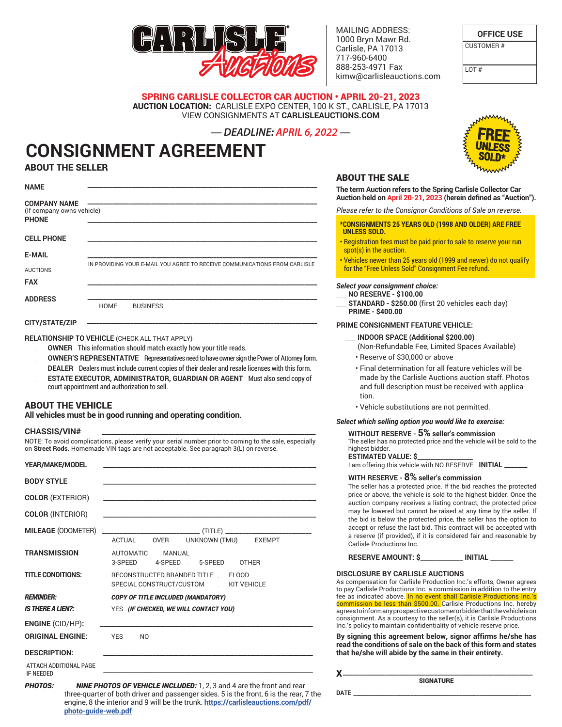

MAILING ADDRESS: 1000 Bryn Mawr Rd. Carlisle, PA 17013 717-960-6400 888-253-4971 Fax kimw@carlisleauctions.com

ABOUT THE SALE

**OFFICE USE**

CUSTOMER #

 $\overline{1}$  OT #

SPRING CARLISLE COLLECTOR CAR AUCTION • APRIL 20-21, 2023 AUCTION LOCATION: CARLISLE EXPO CENTER, 100 K ST., CARLISLE, PA 17013 VIEW CONSIGNMENTS AT **CARLISLEAUCTIONS.COM** 

### *— DEADLINE: APRIL 6, 2022 —*

# **CONSIGNMENT AGREEMENT** ABOUT THE SELLER

| <b>NAME</b>                               |                                                                            |
|-------------------------------------------|----------------------------------------------------------------------------|
| (If company owns vehicle)<br><b>PHONE</b> |                                                                            |
| <b>CELL PHONE</b>                         |                                                                            |
| <b>E-MAIL</b>                             |                                                                            |
| <b>AUCTIONS</b><br><b>FAX</b>             | IN PROVIDING YOUR E-MAIL YOU AGREE TO RECEIVE COMMUNICATIONS FROM CARLISLE |
| <b>ADDRESS</b>                            |                                                                            |
|                                           | <b>HOME</b><br><b>BUSINESS</b>                                             |
| CITY/STATE/ZIP                            |                                                                            |
|                                           |                                                                            |

**RELATIONSHIP TO VEHICLE** (CHECK ALL THAT APPLY)

- OWNER This information should match exactly how your title reads.
- OWNER'S REPRESENTATIVE Representatives need to have owner sign the Power of Attorney form.
- DEALER Dealers must include current copies of their dealer and resale licenses with this form.
- \_\_\_ **ESTATE EXECUTOR, ADMINISTRATOR, GUARDIAN OR AGENT** Must also send copy of court appointment and authorization to sell.

### ABOUT THE VEHICLE

**All vehicles must be in good running and operating condition.**

#### **CHASSIS/VIN# \_\_\_\_\_\_\_\_\_\_\_\_\_\_\_\_\_\_\_\_\_\_\_\_\_\_\_\_\_\_\_\_\_\_\_\_\_\_\_\_\_\_\_\_\_\_\_\_\_\_\_\_\_\_\_\_\_\_**

NOTE: To avoid complications, please verify your serial number prior to coming to the sale, especially on **Street Rods.** Homemade VIN tags are not acceptable. See paragraph 3(L) on reverse.

| YEAR/MAKE/MODEL                            |                                                                                                                      |
|--------------------------------------------|----------------------------------------------------------------------------------------------------------------------|
| <b>BODY STYLE</b>                          |                                                                                                                      |
| <b>COLOR (EXTERIOR)</b>                    | <u> 1980 - Johann Barn, margaret eta idazlear (h. 1980).</u>                                                         |
| <b>COLOR (INTERIOR)</b>                    | <u> 1989 - Johann Barbara, martxa alemaniar argumento de la contrada de la contrada de la contrada de la contrad</u> |
| <b>MILEAGE (ODOMETER)</b>                  | ACTUAL OVER UNKNOWN (TMU) EXEMPT                                                                                     |
| TRANSMISSION                               | AUTOMATIC MANUAL<br>3-SPEED 4-SPEED 5-SPEED OTHER                                                                    |
| TITLE CONDITIONS:                          | RECONSTRUCTED BRANDED TITLE FLOOD<br>SPECIAL CONSTRUCT/CUSTOM KIT VEHICLE                                            |
| <b>REMINDER:</b>                           | <b>COPY OF TITLE INCLUDED (MANDATORY)</b>                                                                            |
| IS THERE A LIEN?:                          | YES (IF CHECKED, WE WILL CONTACT YOU)                                                                                |
| <b>ENGINE</b> (CID/HP):                    |                                                                                                                      |
| <b>ORIGINAL ENGINE:</b>                    | <b>YES</b><br>N <sub>O</sub>                                                                                         |
| <b>DESCRIPTION:</b>                        |                                                                                                                      |
| ATTACH ADDITIONAL PAGE<br><b>IF NEEDED</b> |                                                                                                                      |

*PHOTOS:*\_\_\_ *NINE PHOTOS OF VEHICLE INCLUDED:* 1, 2, 3 and 4 are the front and rear three-quarter of both driver and passenger sides. 5 is the front, 6 is the rear, 7 the engine, 8 the interior and 9 will be the trunk. **https://carlisleauctions.com/pdf/ photo-guide-web.pdf**



### **The term Auction refers to the Spring Carlisle Collector Car Auction held on April 20-21, 2023 (herein defined as "Auction").** *Please refer to the Consignor Conditions of Sale on reverse.* **\*CONSIGNMENTS 25 YEARS OLD (1998 AND OLDER) ARE FREE UNLESS SOLD.** • Registration fees must be paid prior to sale to reserve your run spot(s) in the auction. • Vehicles newer than 25 years old (1999 and newer) do not qualify for the "Free Unless Sold" Consignment Fee refund. *Select your consignment choice:*  \_\_\_ **NO RESERVE - \$100.00** \_\_\_ **STANDARD - \$250.00** (first 20 vehicles each day) \_\_\_ **PRIME - \$400.00 PRIME CONSIGNMENT FEATURE VEHICLE:** \_\_\_ **INDOOR SPACE (Additional \$200.00)** (Non-Refundable Fee, Limited Spaces Available) • Reserve of \$30,000 or above • Final determination for all feature vehicles will be made by the Carlisle Auctions auction staff. Photos and full description must be received with application. • Vehicle substitutions are not permitted. *Select which selling option you would like to exercise:*  \_\_\_ **WITHOUT RESERVE - 5% seller's commission** The seller has no protected price and the vehicle will be sold to the highest bidder **ESTIMATED VALUE: \$\_\_\_\_\_\_\_\_\_\_\_\_\_\_\_\_\_**  I am offering this vehicle with NO RESERVE **INITIAL \_\_\_\_\_\_\_** \_\_\_ **WITH RESERVE - 8% seller's commission** The seller has a protected price. If the bid reaches the protected price or above, the vehicle is sold to the highest bidder. Once the auction company receives a listing contract, the protected price may be lowered but cannot be raised at any time by the seller. If the bid is below the protected price, the seller has the option to accept or refuse the last bid. This contract will be accepted with a reserve (if provided), if it is considered fair and reasonable by Carlisle Productions Inc. **RESERVE AMOUNT: \$\_\_\_\_\_\_\_\_\_\_\_\_\_ INITIAL \_\_\_\_\_\_\_**

#### **DISCLOSURE BY CARLISLE AUCTIONS**

As compensation for Carlisle Production Inc.'s efforts, Owner agrees to pay Carlisle Productions Inc. a commission in addition to the entry fee as indicated above. In no event shall Carlisle Productions Inc.'s commission be less than \$500.00. Carlisle Productions Inc. hereby agrees to inform any prospective customer or bidder that the vehicle is on consignment. As a courtesy to the seller(s), it is Carlisle Productions Inc.'s policy to maintain confidentiality of vehicle reserve price.

**By signing this agreement below, signor affirms he/she has read the conditions of sale on the back of this form and states that he/she will abide by the same in their entirety.** 

**SIGNATURE** 

| v<br>-<br>. . | ___________       |
|---------------|-------------------|
|               | <b>CIONIATURE</b> |

**DATE \_\_\_\_\_\_\_\_\_\_\_\_\_\_\_\_\_\_\_\_\_\_\_\_\_\_\_\_\_\_\_\_\_\_\_\_\_\_\_\_\_\_\_\_\_\_\_\_\_\_\_\_\_\_\_\_\_\_\_\_\_\_**